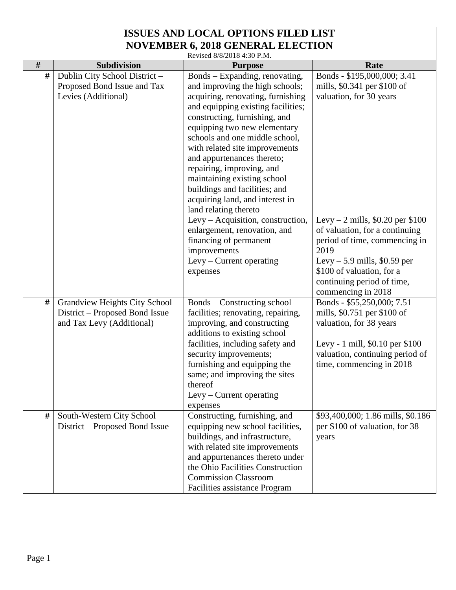Revised 8/8/2018 4:30 P.M.

|      |                                      | 1911. 1 0.07 50 10 10 10 10 10 10 10 10 |                                    |
|------|--------------------------------------|-----------------------------------------|------------------------------------|
| $\#$ | Subdivision                          | <b>Purpose</b>                          | Rate                               |
| #    | Dublin City School District-         | Bonds - Expanding, renovating,          | Bonds - \$195,000,000; 3.41        |
|      | Proposed Bond Issue and Tax          | and improving the high schools;         | mills, \$0.341 per \$100 of        |
|      | Levies (Additional)                  | acquiring, renovating, furnishing       | valuation, for 30 years            |
|      |                                      | and equipping existing facilities;      |                                    |
|      |                                      | constructing, furnishing, and           |                                    |
|      |                                      | equipping two new elementary            |                                    |
|      |                                      | schools and one middle school,          |                                    |
|      |                                      | with related site improvements          |                                    |
|      |                                      | and appurtenances thereto;              |                                    |
|      |                                      | repairing, improving, and               |                                    |
|      |                                      | maintaining existing school             |                                    |
|      |                                      | buildings and facilities; and           |                                    |
|      |                                      | acquiring land, and interest in         |                                    |
|      |                                      | land relating thereto                   |                                    |
|      |                                      | Levy – Acquisition, construction,       | Levy – 2 mills, $$0.20$ per $$100$ |
|      |                                      | enlargement, renovation, and            | of valuation, for a continuing     |
|      |                                      | financing of permanent                  | period of time, commencing in      |
|      |                                      |                                         | 2019                               |
|      |                                      | improvements                            |                                    |
|      |                                      | Levy – Current operating                | Levy $-5.9$ mills, \$0.59 per      |
|      |                                      | expenses                                | \$100 of valuation, for a          |
|      |                                      |                                         | continuing period of time,         |
|      |                                      |                                         | commencing in 2018                 |
| #    | <b>Grandview Heights City School</b> | Bonds – Constructing school             | Bonds - \$55,250,000; 7.51         |
|      | District – Proposed Bond Issue       | facilities; renovating, repairing,      | mills, \$0.751 per \$100 of        |
|      | and Tax Levy (Additional)            | improving, and constructing             | valuation, for 38 years            |
|      |                                      | additions to existing school            |                                    |
|      |                                      | facilities, including safety and        | Levy - 1 mill, \$0.10 per \$100    |
|      |                                      | security improvements;                  | valuation, continuing period of    |
|      |                                      | furnishing and equipping the            | time, commencing in 2018           |
|      |                                      | same; and improving the sites           |                                    |
|      |                                      | thereof                                 |                                    |
|      |                                      | Levy - Current operating                |                                    |
|      |                                      | expenses                                |                                    |
| #    | South-Western City School            | Constructing, furnishing, and           | \$93,400,000; 1.86 mills, \$0.186  |
|      | District – Proposed Bond Issue       | equipping new school facilities,        | per \$100 of valuation, for 38     |
|      |                                      | buildings, and infrastructure,          | years                              |
|      |                                      | with related site improvements          |                                    |
|      |                                      | and appurtenances thereto under         |                                    |
|      |                                      | the Ohio Facilities Construction        |                                    |
|      |                                      | <b>Commission Classroom</b>             |                                    |
|      |                                      | Facilities assistance Program           |                                    |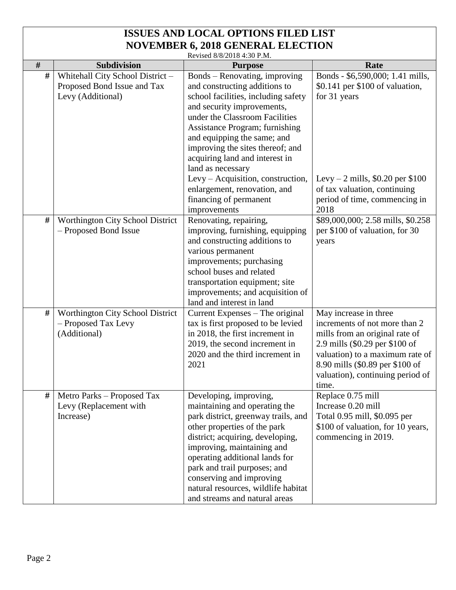Revised 8/8/2018 4:30 P.M.

|      |                                  | $R$ and $R$ or $\frac{1}{2}$ and $\frac{1}{2}$ and $\frac{1}{2}$ and $\frac{1}{2}$ and $\frac{1}{2}$ and $\frac{1}{2}$ and $\frac{1}{2}$ and $\frac{1}{2}$ and $\frac{1}{2}$ and $\frac{1}{2}$ and $\frac{1}{2}$ and $\frac{1}{2}$ and $\frac{1}{2}$ and $\frac{1}{2}$ and $\frac{1}{2}$ |                                    |
|------|----------------------------------|------------------------------------------------------------------------------------------------------------------------------------------------------------------------------------------------------------------------------------------------------------------------------------------|------------------------------------|
| $\#$ | <b>Subdivision</b>               | <b>Purpose</b>                                                                                                                                                                                                                                                                           | Rate                               |
| #    | Whitehall City School District-  | Bonds – Renovating, improving                                                                                                                                                                                                                                                            | Bonds - \$6,590,000; 1.41 mills,   |
|      | Proposed Bond Issue and Tax      | and constructing additions to                                                                                                                                                                                                                                                            | \$0.141 per \$100 of valuation,    |
|      | Levy (Additional)                | school facilities, including safety                                                                                                                                                                                                                                                      | for 31 years                       |
|      |                                  | and security improvements,                                                                                                                                                                                                                                                               |                                    |
|      |                                  | under the Classroom Facilities                                                                                                                                                                                                                                                           |                                    |
|      |                                  | Assistance Program; furnishing                                                                                                                                                                                                                                                           |                                    |
|      |                                  | and equipping the same; and                                                                                                                                                                                                                                                              |                                    |
|      |                                  | improving the sites thereof; and                                                                                                                                                                                                                                                         |                                    |
|      |                                  | acquiring land and interest in                                                                                                                                                                                                                                                           |                                    |
|      |                                  | land as necessary                                                                                                                                                                                                                                                                        |                                    |
|      |                                  | Levy - Acquisition, construction,                                                                                                                                                                                                                                                        | Levy – 2 mills, $$0.20$ per $$100$ |
|      |                                  | enlargement, renovation, and                                                                                                                                                                                                                                                             | of tax valuation, continuing       |
|      |                                  | financing of permanent                                                                                                                                                                                                                                                                   | period of time, commencing in      |
|      |                                  | improvements                                                                                                                                                                                                                                                                             | 2018                               |
| #    | Worthington City School District | Renovating, repairing,                                                                                                                                                                                                                                                                   | \$89,000,000; 2.58 mills, \$0.258  |
|      | - Proposed Bond Issue            | improving, furnishing, equipping                                                                                                                                                                                                                                                         | per \$100 of valuation, for 30     |
|      |                                  | and constructing additions to                                                                                                                                                                                                                                                            | years                              |
|      |                                  | various permanent                                                                                                                                                                                                                                                                        |                                    |
|      |                                  | improvements; purchasing                                                                                                                                                                                                                                                                 |                                    |
|      |                                  | school buses and related                                                                                                                                                                                                                                                                 |                                    |
|      |                                  | transportation equipment; site                                                                                                                                                                                                                                                           |                                    |
|      |                                  | improvements; and acquisition of                                                                                                                                                                                                                                                         |                                    |
|      |                                  | land and interest in land                                                                                                                                                                                                                                                                |                                    |
| #    | Worthington City School District | Current Expenses – The original                                                                                                                                                                                                                                                          | May increase in three              |
|      | - Proposed Tax Levy              | tax is first proposed to be levied                                                                                                                                                                                                                                                       | increments of not more than 2      |
|      | (Additional)                     | in 2018, the first increment in                                                                                                                                                                                                                                                          | mills from an original rate of     |
|      |                                  | 2019, the second increment in                                                                                                                                                                                                                                                            | 2.9 mills (\$0.29 per \$100 of     |
|      |                                  | 2020 and the third increment in                                                                                                                                                                                                                                                          | valuation) to a maximum rate of    |
|      |                                  | 2021                                                                                                                                                                                                                                                                                     | 8.90 mills (\$0.89 per \$100 of    |
|      |                                  |                                                                                                                                                                                                                                                                                          | valuation), continuing period of   |
|      |                                  |                                                                                                                                                                                                                                                                                          | time.                              |
| #    | Metro Parks – Proposed Tax       | Developing, improving,                                                                                                                                                                                                                                                                   | Replace 0.75 mill                  |
|      | Levy (Replacement with           | maintaining and operating the                                                                                                                                                                                                                                                            | Increase 0.20 mill                 |
|      | Increase)                        | park district, greenway trails, and                                                                                                                                                                                                                                                      | Total 0.95 mill, \$0.095 per       |
|      |                                  | other properties of the park                                                                                                                                                                                                                                                             | \$100 of valuation, for 10 years,  |
|      |                                  | district; acquiring, developing,                                                                                                                                                                                                                                                         | commencing in 2019.                |
|      |                                  | improving, maintaining and                                                                                                                                                                                                                                                               |                                    |
|      |                                  | operating additional lands for                                                                                                                                                                                                                                                           |                                    |
|      |                                  | park and trail purposes; and                                                                                                                                                                                                                                                             |                                    |
|      |                                  | conserving and improving                                                                                                                                                                                                                                                                 |                                    |
|      |                                  | natural resources, wildlife habitat                                                                                                                                                                                                                                                      |                                    |
|      |                                  | and streams and natural areas                                                                                                                                                                                                                                                            |                                    |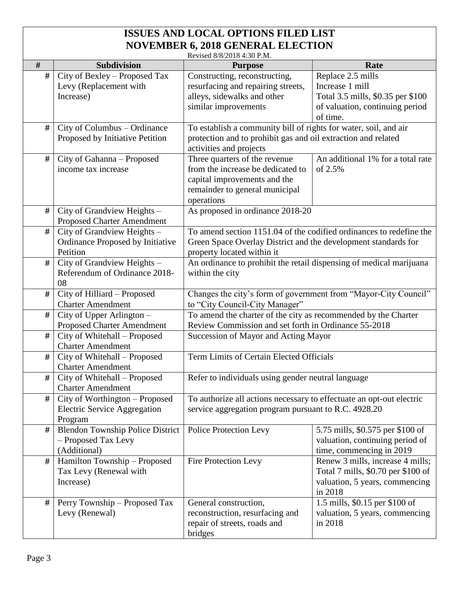|      | Revised 8/8/2018 4:30 P.M.                               |                                                                                                                              |                                    |  |  |
|------|----------------------------------------------------------|------------------------------------------------------------------------------------------------------------------------------|------------------------------------|--|--|
| #    | Subdivision                                              | <b>Purpose</b>                                                                                                               | Rate                               |  |  |
| #    | City of Bexley - Proposed Tax                            | Constructing, reconstructing,                                                                                                | Replace 2.5 mills                  |  |  |
|      | Levy (Replacement with                                   | resurfacing and repairing streets,                                                                                           | Increase 1 mill                    |  |  |
|      | Increase)                                                | alleys, sidewalks and other                                                                                                  | Total 3.5 mills, \$0.35 per \$100  |  |  |
|      |                                                          | similar improvements                                                                                                         | of valuation, continuing period    |  |  |
|      |                                                          |                                                                                                                              | of time.                           |  |  |
| #    | City of Columbus - Ordinance                             | To establish a community bill of rights for water, soil, and air                                                             |                                    |  |  |
|      | Proposed by Initiative Petition                          | protection and to prohibit gas and oil extraction and related                                                                |                                    |  |  |
|      |                                                          | activities and projects                                                                                                      |                                    |  |  |
| #    | City of Gahanna - Proposed                               | Three quarters of the revenue                                                                                                | An additional 1% for a total rate  |  |  |
|      | income tax increase                                      | from the increase be dedicated to                                                                                            | of 2.5%                            |  |  |
|      |                                                          | capital improvements and the                                                                                                 |                                    |  |  |
|      |                                                          | remainder to general municipal                                                                                               |                                    |  |  |
|      |                                                          | operations                                                                                                                   |                                    |  |  |
| #    | City of Grandview Heights -                              | As proposed in ordinance 2018-20                                                                                             |                                    |  |  |
|      | <b>Proposed Charter Amendment</b>                        |                                                                                                                              |                                    |  |  |
| #    | City of Grandview Heights -                              | To amend section 1151.04 of the codified ordinances to redefine the                                                          |                                    |  |  |
|      | Ordinance Proposed by Initiative                         | Green Space Overlay District and the development standards for                                                               |                                    |  |  |
|      | Petition                                                 | property located within it                                                                                                   |                                    |  |  |
| #    | $\overline{City}$ of Grandview Heights -                 | An ordinance to prohibit the retail dispensing of medical marijuana                                                          |                                    |  |  |
|      | Referendum of Ordinance 2018-                            | within the city                                                                                                              |                                    |  |  |
|      | 08                                                       |                                                                                                                              |                                    |  |  |
| $\#$ | City of Hilliard - Proposed                              | Changes the city's form of government from "Mayor-City Council"                                                              |                                    |  |  |
|      | <b>Charter Amendment</b>                                 | to "City Council-City Manager"                                                                                               |                                    |  |  |
| #    | City of Upper Arlington –                                | To amend the charter of the city as recommended by the Charter                                                               |                                    |  |  |
|      | <b>Proposed Charter Amendment</b>                        | Review Commission and set forth in Ordinance 55-2018                                                                         |                                    |  |  |
| $\#$ | City of Whitehall - Proposed                             | Succession of Mayor and Acting Mayor                                                                                         |                                    |  |  |
|      | <b>Charter Amendment</b>                                 |                                                                                                                              |                                    |  |  |
| #    | City of Whitehall - Proposed                             | Term Limits of Certain Elected Officials                                                                                     |                                    |  |  |
| $\#$ | <b>Charter Amendment</b>                                 |                                                                                                                              |                                    |  |  |
|      | City of Whitehall - Proposed<br><b>Charter Amendment</b> | Refer to individuals using gender neutral language                                                                           |                                    |  |  |
| #    | City of Worthington – Proposed                           |                                                                                                                              |                                    |  |  |
|      | <b>Electric Service Aggregation</b>                      | To authorize all actions necessary to effectuate an opt-out electric<br>service aggregation program pursuant to R.C. 4928.20 |                                    |  |  |
|      | Program                                                  |                                                                                                                              |                                    |  |  |
| #    | <b>Blendon Township Police District</b>                  | Police Protection Levy                                                                                                       | 5.75 mills, \$0.575 per \$100 of   |  |  |
|      | - Proposed Tax Levy                                      |                                                                                                                              | valuation, continuing period of    |  |  |
|      | (Additional)                                             |                                                                                                                              | time, commencing in 2019           |  |  |
| #    | Hamilton Township - Proposed                             | <b>Fire Protection Levy</b>                                                                                                  | Renew 3 mills, increase 4 mills;   |  |  |
|      | Tax Levy (Renewal with                                   |                                                                                                                              | Total 7 mills, \$0.70 per \$100 of |  |  |
|      | Increase)                                                |                                                                                                                              | valuation, 5 years, commencing     |  |  |
|      |                                                          |                                                                                                                              | in 2018                            |  |  |
| #    | Perry Township – Proposed Tax                            | General construction,                                                                                                        | 1.5 mills, \$0.15 per \$100 of     |  |  |
|      | Levy (Renewal)                                           | reconstruction, resurfacing and                                                                                              | valuation, 5 years, commencing     |  |  |
|      |                                                          | repair of streets, roads and                                                                                                 | in 2018                            |  |  |
|      |                                                          | bridges                                                                                                                      |                                    |  |  |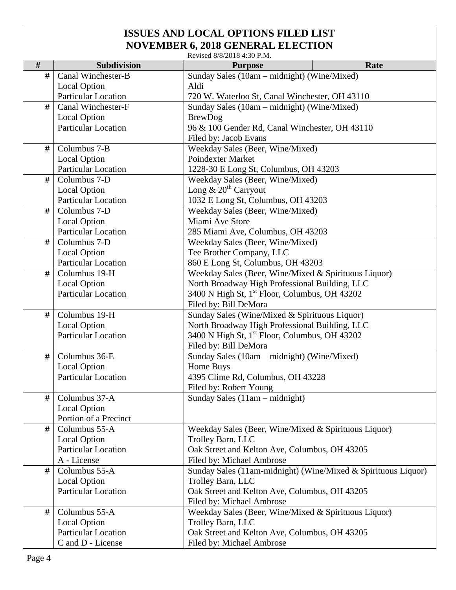|                                                                             | Revised 8/8/2018 4:30 P.M.                        |                                                                                           |      |  |  |
|-----------------------------------------------------------------------------|---------------------------------------------------|-------------------------------------------------------------------------------------------|------|--|--|
| $\#$                                                                        | <b>Subdivision</b>                                | <b>Purpose</b>                                                                            | Rate |  |  |
| #                                                                           | Canal Winchester-B                                | Sunday Sales (10am – midnight) (Wine/Mixed)                                               |      |  |  |
|                                                                             | Local Option                                      | Aldi                                                                                      |      |  |  |
|                                                                             | <b>Particular Location</b>                        | 720 W. Waterloo St, Canal Winchester, OH 43110                                            |      |  |  |
| #                                                                           | Canal Winchester-F                                | Sunday Sales (10am – midnight) (Wine/Mixed)                                               |      |  |  |
|                                                                             | <b>Local Option</b>                               | <b>BrewDog</b>                                                                            |      |  |  |
|                                                                             | <b>Particular Location</b>                        | 96 & 100 Gender Rd, Canal Winchester, OH 43110                                            |      |  |  |
|                                                                             |                                                   | Filed by: Jacob Evans                                                                     |      |  |  |
| #                                                                           | Columbus 7-B                                      | Weekday Sales (Beer, Wine/Mixed)                                                          |      |  |  |
|                                                                             | <b>Local Option</b>                               | Poindexter Market                                                                         |      |  |  |
|                                                                             | <b>Particular Location</b>                        | 1228-30 E Long St, Columbus, OH 43203                                                     |      |  |  |
| #                                                                           | Columbus 7-D                                      | Weekday Sales (Beer, Wine/Mixed)                                                          |      |  |  |
|                                                                             | <b>Local Option</b>                               | Long $\& 20th$ Carryout                                                                   |      |  |  |
|                                                                             | <b>Particular Location</b>                        | 1032 E Long St, Columbus, OH 43203                                                        |      |  |  |
| #                                                                           | Columbus 7-D                                      |                                                                                           |      |  |  |
|                                                                             | <b>Local Option</b>                               | Weekday Sales (Beer, Wine/Mixed)<br>Miami Ave Store                                       |      |  |  |
|                                                                             | <b>Particular Location</b>                        | 285 Miami Ave, Columbus, OH 43203                                                         |      |  |  |
| #                                                                           | Columbus 7-D                                      |                                                                                           |      |  |  |
|                                                                             | <b>Local Option</b>                               | Weekday Sales (Beer, Wine/Mixed)                                                          |      |  |  |
|                                                                             | <b>Particular Location</b>                        | Tee Brother Company, LLC                                                                  |      |  |  |
| #                                                                           | Columbus 19-H                                     | 860 E Long St, Columbus, OH 43203<br>Weekday Sales (Beer, Wine/Mixed & Spirituous Liquor) |      |  |  |
|                                                                             |                                                   |                                                                                           |      |  |  |
|                                                                             | <b>Local Option</b><br><b>Particular Location</b> | North Broadway High Professional Building, LLC                                            |      |  |  |
|                                                                             |                                                   | 3400 N High St, 1 <sup>st</sup> Floor, Columbus, OH 43202                                 |      |  |  |
|                                                                             |                                                   | Filed by: Bill DeMora                                                                     |      |  |  |
| #                                                                           | Columbus 19-H                                     | Sunday Sales (Wine/Mixed & Spirituous Liquor)                                             |      |  |  |
|                                                                             | Local Option                                      | North Broadway High Professional Building, LLC                                            |      |  |  |
|                                                                             | <b>Particular Location</b>                        | 3400 N High St, 1 <sup>st</sup> Floor, Columbus, OH 43202                                 |      |  |  |
|                                                                             |                                                   | Filed by: Bill DeMora                                                                     |      |  |  |
| #                                                                           | Columbus 36-E                                     | Sunday Sales (10am - midnight) (Wine/Mixed)                                               |      |  |  |
|                                                                             | <b>Local Option</b>                               | Home Buys                                                                                 |      |  |  |
|                                                                             | <b>Particular Location</b>                        | 4395 Clime Rd, Columbus, OH 43228                                                         |      |  |  |
|                                                                             |                                                   | Filed by: Robert Young                                                                    |      |  |  |
| #                                                                           | Columbus 37-A                                     | Sunday Sales $(11am - midnight)$                                                          |      |  |  |
|                                                                             | <b>Local Option</b>                               |                                                                                           |      |  |  |
|                                                                             | Portion of a Precinct                             |                                                                                           |      |  |  |
| #                                                                           | Columbus 55-A                                     | Weekday Sales (Beer, Wine/Mixed & Spirituous Liquor)                                      |      |  |  |
|                                                                             | <b>Local Option</b>                               | Trolley Barn, LLC                                                                         |      |  |  |
|                                                                             | <b>Particular Location</b>                        | Oak Street and Kelton Ave, Columbus, OH 43205                                             |      |  |  |
|                                                                             | A - License                                       | Filed by: Michael Ambrose                                                                 |      |  |  |
| #                                                                           | Columbus 55-A                                     | Sunday Sales (11am-midnight) (Wine/Mixed & Spirituous Liquor)                             |      |  |  |
|                                                                             | <b>Local Option</b>                               | Trolley Barn, LLC                                                                         |      |  |  |
|                                                                             | <b>Particular Location</b>                        | Oak Street and Kelton Ave, Columbus, OH 43205                                             |      |  |  |
|                                                                             |                                                   | Filed by: Michael Ambrose                                                                 |      |  |  |
| #                                                                           | Columbus 55-A                                     | Weekday Sales (Beer, Wine/Mixed & Spirituous Liquor)                                      |      |  |  |
|                                                                             | <b>Local Option</b>                               | Trolley Barn, LLC                                                                         |      |  |  |
| <b>Particular Location</b><br>Oak Street and Kelton Ave, Columbus, OH 43205 |                                                   |                                                                                           |      |  |  |
|                                                                             | C and D - License                                 | Filed by: Michael Ambrose                                                                 |      |  |  |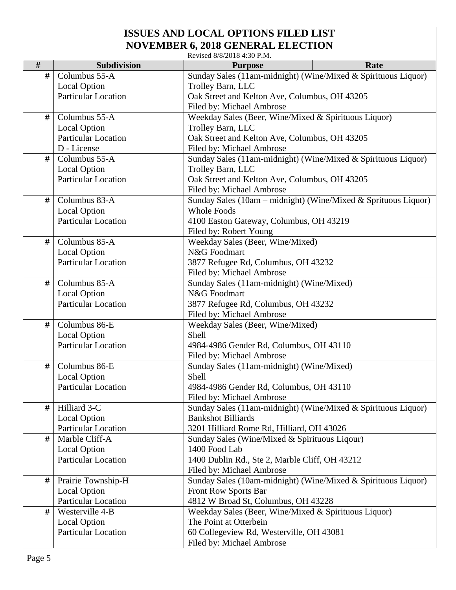|   | Revised 8/8/2018 4:30 P.M. |                                                                            |      |  |  |
|---|----------------------------|----------------------------------------------------------------------------|------|--|--|
| # | Subdivision                | <b>Purpose</b>                                                             | Rate |  |  |
| # | Columbus 55-A              | Sunday Sales (11am-midnight) (Wine/Mixed & Spirituous Liquor)              |      |  |  |
|   | <b>Local Option</b>        | Trolley Barn, LLC                                                          |      |  |  |
|   | <b>Particular Location</b> | Oak Street and Kelton Ave, Columbus, OH 43205                              |      |  |  |
|   |                            | Filed by: Michael Ambrose                                                  |      |  |  |
| # | Columbus 55-A              | Weekday Sales (Beer, Wine/Mixed & Spirituous Liquor)                       |      |  |  |
|   | <b>Local Option</b>        | Trolley Barn, LLC                                                          |      |  |  |
|   | <b>Particular Location</b> | Oak Street and Kelton Ave, Columbus, OH 43205                              |      |  |  |
|   | D - License                | Filed by: Michael Ambrose                                                  |      |  |  |
| # | Columbus 55-A              | Sunday Sales (11am-midnight) (Wine/Mixed & Spirituous Liquor)              |      |  |  |
|   | <b>Local Option</b>        | Trolley Barn, LLC                                                          |      |  |  |
|   | <b>Particular Location</b> | Oak Street and Kelton Ave, Columbus, OH 43205<br>Filed by: Michael Ambrose |      |  |  |
|   |                            |                                                                            |      |  |  |
| # | Columbus 83-A              | Sunday Sales (10am – midnight) (Wine/Mixed & Sprituous Liquor)             |      |  |  |
|   | <b>Local Option</b>        | <b>Whole Foods</b>                                                         |      |  |  |
|   | <b>Particular Location</b> | 4100 Easton Gateway, Columbus, OH 43219<br>Filed by: Robert Young          |      |  |  |
|   |                            |                                                                            |      |  |  |
| # | Columbus 85-A              | Weekday Sales (Beer, Wine/Mixed)                                           |      |  |  |
|   | <b>Local Option</b>        | N&G Foodmart                                                               |      |  |  |
|   | <b>Particular Location</b> | 3877 Refugee Rd, Columbus, OH 43232                                        |      |  |  |
|   |                            | Filed by: Michael Ambrose                                                  |      |  |  |
| # | Columbus 85-A              | Sunday Sales (11am-midnight) (Wine/Mixed)                                  |      |  |  |
|   | Local Option               | N&G Foodmart                                                               |      |  |  |
|   | Particular Location        | 3877 Refugee Rd, Columbus, OH 43232                                        |      |  |  |
|   |                            | Filed by: Michael Ambrose                                                  |      |  |  |
| # | Columbus 86-E              | Weekday Sales (Beer, Wine/Mixed)                                           |      |  |  |
|   |                            | Shell                                                                      |      |  |  |
|   | <b>Local Option</b>        |                                                                            |      |  |  |
|   | <b>Particular Location</b> | 4984-4986 Gender Rd, Columbus, OH 43110                                    |      |  |  |
|   |                            | Filed by: Michael Ambrose                                                  |      |  |  |
| # | Columbus 86-E              | Sunday Sales (11am-midnight) (Wine/Mixed)                                  |      |  |  |
|   | Local Option               | Shell                                                                      |      |  |  |
|   | <b>Particular Location</b> | 4984-4986 Gender Rd, Columbus, OH 43110                                    |      |  |  |
|   |                            | Filed by: Michael Ambrose                                                  |      |  |  |
| # | Hilliard 3-C               | Sunday Sales (11am-midnight) (Wine/Mixed & Spirituous Liquor)              |      |  |  |
|   | <b>Local Option</b>        | <b>Bankshot Billiards</b>                                                  |      |  |  |
|   | <b>Particular Location</b> | 3201 Hilliard Rome Rd, Hilliard, OH 43026                                  |      |  |  |
| # | Marble Cliff-A             | Sunday Sales (Wine/Mixed & Spirituous Liqour)                              |      |  |  |
|   | <b>Local Option</b>        | 1400 Food Lab                                                              |      |  |  |
|   | <b>Particular Location</b> | 1400 Dublin Rd., Ste 2, Marble Cliff, OH 43212                             |      |  |  |
|   |                            | Filed by: Michael Ambrose                                                  |      |  |  |
| # | Prairie Township-H         | Sunday Sales (10am-midnight) (Wine/Mixed & Spirituous Liquor)              |      |  |  |
|   | <b>Local Option</b>        | <b>Front Row Sports Bar</b>                                                |      |  |  |
|   | Particular Location        | 4812 W Broad St, Columbus, OH 43228                                        |      |  |  |
| # | Westerville 4-B            | Weekday Sales (Beer, Wine/Mixed & Spirituous Liquor)                       |      |  |  |
|   | <b>Local Option</b>        | The Point at Otterbein                                                     |      |  |  |
|   | <b>Particular Location</b> | 60 Collegeview Rd, Westerville, OH 43081<br>Filed by: Michael Ambrose      |      |  |  |
|   |                            |                                                                            |      |  |  |